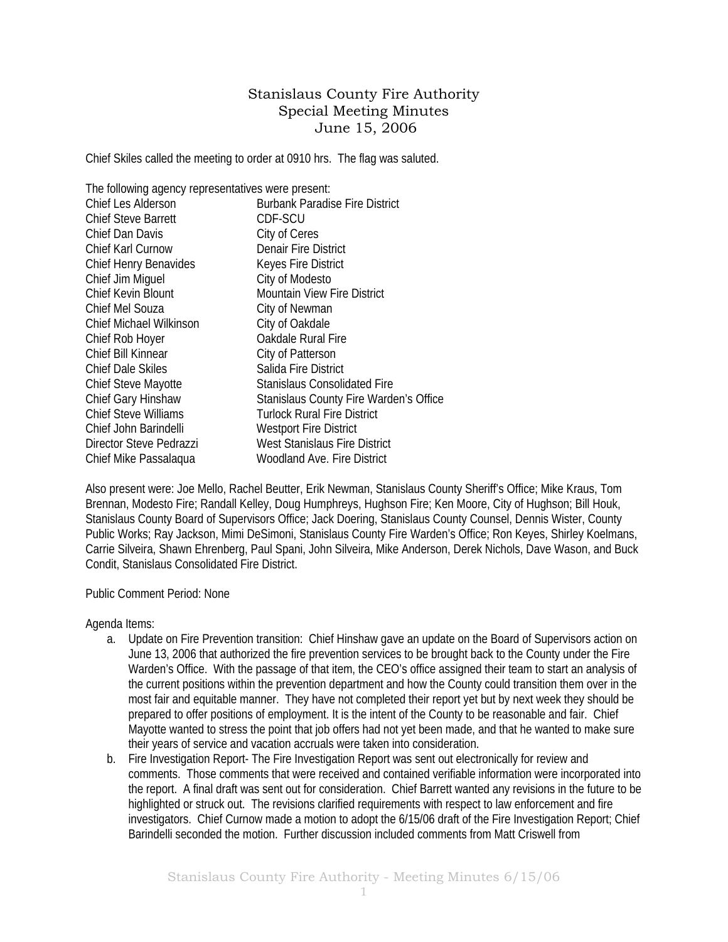## Stanislaus County Fire Authority Special Meeting Minutes June 15, 2006

Chief Skiles called the meeting to order at 0910 hrs. The flag was saluted.

| The following agency representatives were present: |                                        |  |  |  |
|----------------------------------------------------|----------------------------------------|--|--|--|
| Chief Les Alderson                                 | <b>Burbank Paradise Fire District</b>  |  |  |  |
| <b>Chief Steve Barrett</b>                         | CDF-SCU                                |  |  |  |
| Chief Dan Davis                                    | City of Ceres                          |  |  |  |
| Chief Karl Curnow                                  | <b>Denair Fire District</b>            |  |  |  |
| Chief Henry Benavides                              | Keyes Fire District                    |  |  |  |
| Chief Jim Miguel                                   | City of Modesto                        |  |  |  |
| Chief Kevin Blount                                 | <b>Mountain View Fire District</b>     |  |  |  |
| Chief Mel Souza                                    | City of Newman                         |  |  |  |
| <b>Chief Michael Wilkinson</b>                     | City of Oakdale                        |  |  |  |
| Chief Rob Hoyer                                    | Oakdale Rural Fire                     |  |  |  |
| Chief Bill Kinnear                                 | City of Patterson                      |  |  |  |
| <b>Chief Dale Skiles</b>                           | Salida Fire District                   |  |  |  |
| <b>Chief Steve Mayotte</b>                         | Stanislaus Consolidated Fire           |  |  |  |
| Chief Gary Hinshaw                                 | Stanislaus County Fire Warden's Office |  |  |  |
| <b>Chief Steve Williams</b>                        | <b>Turlock Rural Fire District</b>     |  |  |  |
| Chief John Barindelli                              | <b>Westport Fire District</b>          |  |  |  |
| Director Steve Pedrazzi                            | West Stanislaus Fire District          |  |  |  |
| Chief Mike Passalagua                              | Woodland Ave. Fire District            |  |  |  |

Also present were: Joe Mello, Rachel Beutter, Erik Newman, Stanislaus County Sheriff's Office; Mike Kraus, Tom Brennan, Modesto Fire; Randall Kelley, Doug Humphreys, Hughson Fire; Ken Moore, City of Hughson; Bill Houk, Stanislaus County Board of Supervisors Office; Jack Doering, Stanislaus County Counsel, Dennis Wister, County Public Works; Ray Jackson, Mimi DeSimoni, Stanislaus County Fire Warden's Office; Ron Keyes, Shirley Koelmans, Carrie Silveira, Shawn Ehrenberg, Paul Spani, John Silveira, Mike Anderson, Derek Nichols, Dave Wason, and Buck Condit, Stanislaus Consolidated Fire District.

Public Comment Period: None

Agenda Items:

- a. Update on Fire Prevention transition: Chief Hinshaw gave an update on the Board of Supervisors action on June 13, 2006 that authorized the fire prevention services to be brought back to the County under the Fire Warden's Office. With the passage of that item, the CEO's office assigned their team to start an analysis of the current positions within the prevention department and how the County could transition them over in the most fair and equitable manner. They have not completed their report yet but by next week they should be prepared to offer positions of employment. It is the intent of the County to be reasonable and fair. Chief Mayotte wanted to stress the point that job offers had not yet been made, and that he wanted to make sure their years of service and vacation accruals were taken into consideration.
- b. Fire Investigation Report- The Fire Investigation Report was sent out electronically for review and comments. Those comments that were received and contained verifiable information were incorporated into the report. A final draft was sent out for consideration. Chief Barrett wanted any revisions in the future to be highlighted or struck out. The revisions clarified requirements with respect to law enforcement and fire investigators. Chief Curnow made a motion to adopt the 6/15/06 draft of the Fire Investigation Report; Chief Barindelli seconded the motion. Further discussion included comments from Matt Criswell from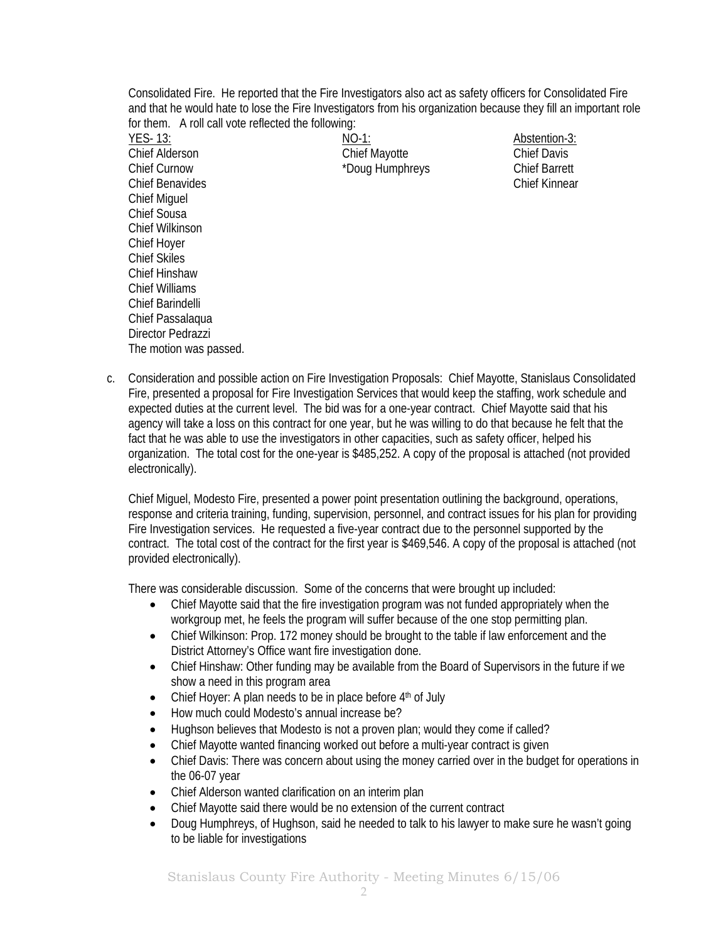Consolidated Fire. He reported that the Fire Investigators also act as safety officers for Consolidated Fire and that he would hate to lose the Fire Investigators from his organization because they fill an important role for them. A roll call vote reflected the following:

YES- 13: NO-1: Abstention-3: Chief Alderson Chief Mayotte Chief Davis Chief Curnow **Example 20** The <sup>\*</sup>Doug Humphreys Chief Barrett Chief Benavides Chief Kinnear Chief Miguel Chief Sousa Chief Wilkinson Chief Hoyer Chief Skiles Chief Hinshaw Chief Williams Chief Barindelli Chief Passalaqua Director Pedrazzi The motion was passed.

c. Consideration and possible action on Fire Investigation Proposals: Chief Mayotte, Stanislaus Consolidated Fire, presented a proposal for Fire Investigation Services that would keep the staffing, work schedule and expected duties at the current level. The bid was for a one-year contract. Chief Mayotte said that his agency will take a loss on this contract for one year, but he was willing to do that because he felt that the fact that he was able to use the investigators in other capacities, such as safety officer, helped his organization. The total cost for the one-year is \$485,252. A copy of the proposal is attached (not provided electronically).

Chief Miguel, Modesto Fire, presented a power point presentation outlining the background, operations, response and criteria training, funding, supervision, personnel, and contract issues for his plan for providing Fire Investigation services. He requested a five-year contract due to the personnel supported by the contract. The total cost of the contract for the first year is \$469,546. A copy of the proposal is attached (not provided electronically).

There was considerable discussion. Some of the concerns that were brought up included:

- Chief Mayotte said that the fire investigation program was not funded appropriately when the workgroup met, he feels the program will suffer because of the one stop permitting plan.
- Chief Wilkinson: Prop. 172 money should be brought to the table if law enforcement and the District Attorney's Office want fire investigation done.
- Chief Hinshaw: Other funding may be available from the Board of Supervisors in the future if we show a need in this program area
- Chief Hoyer: A plan needs to be in place before  $4<sup>th</sup>$  of July
- How much could Modesto's annual increase be?
- Hughson believes that Modesto is not a proven plan; would they come if called?
- Chief Mayotte wanted financing worked out before a multi-year contract is given
- Chief Davis: There was concern about using the money carried over in the budget for operations in the 06-07 year
- Chief Alderson wanted clarification on an interim plan
- Chief Mayotte said there would be no extension of the current contract
- Doug Humphreys, of Hughson, said he needed to talk to his lawyer to make sure he wasn't going to be liable for investigations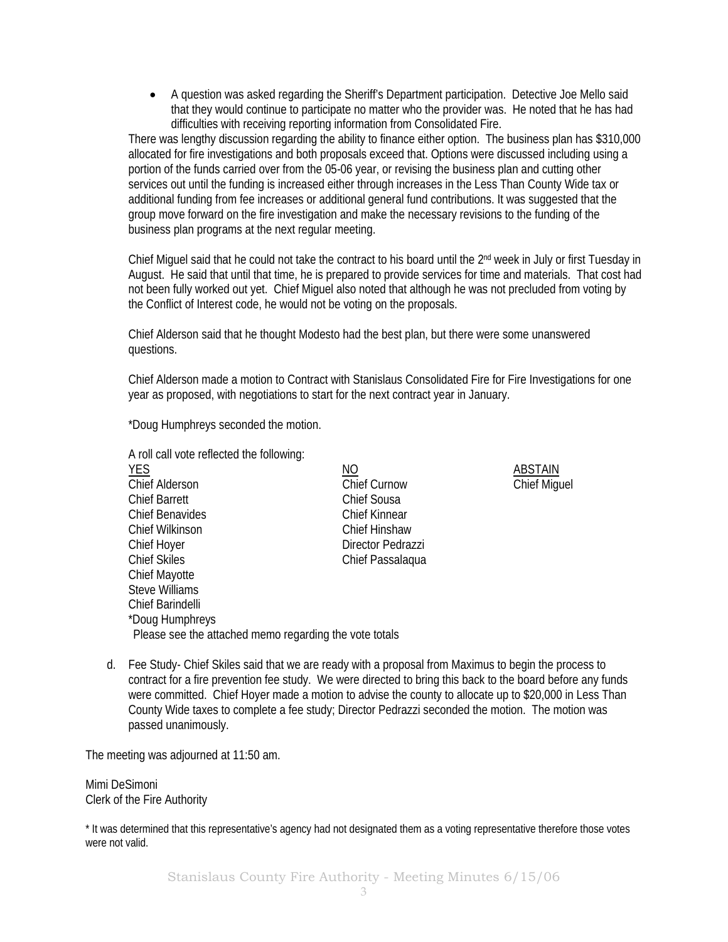• A question was asked regarding the Sheriff's Department participation. Detective Joe Mello said that they would continue to participate no matter who the provider was. He noted that he has had difficulties with receiving reporting information from Consolidated Fire.

There was lengthy discussion regarding the ability to finance either option. The business plan has \$310,000 allocated for fire investigations and both proposals exceed that. Options were discussed including using a portion of the funds carried over from the 05-06 year, or revising the business plan and cutting other services out until the funding is increased either through increases in the Less Than County Wide tax or additional funding from fee increases or additional general fund contributions. It was suggested that the group move forward on the fire investigation and make the necessary revisions to the funding of the business plan programs at the next regular meeting.

Chief Miguel said that he could not take the contract to his board until the 2nd week in July or first Tuesday in August. He said that until that time, he is prepared to provide services for time and materials. That cost had not been fully worked out yet. Chief Miguel also noted that although he was not precluded from voting by the Conflict of Interest code, he would not be voting on the proposals.

Chief Alderson said that he thought Modesto had the best plan, but there were some unanswered questions.

Chief Alderson made a motion to Contract with Stanislaus Consolidated Fire for Fire Investigations for one year as proposed, with negotiations to start for the next contract year in January.

\*Doug Humphreys seconded the motion.

|                                                        | A roll call vote reflected the following: |                |  |
|--------------------------------------------------------|-------------------------------------------|----------------|--|
| <b>YES</b>                                             | <u>NO</u>                                 | <b>ABSTAIN</b> |  |
| <b>Chief Alderson</b>                                  | <b>Chief Curnow</b>                       | Chief Mig      |  |
| <b>Chief Barrett</b>                                   | Chief Sousa                               |                |  |
| <b>Chief Benavides</b>                                 | Chief Kinnear                             |                |  |
| Chief Wilkinson                                        | Chief Hinshaw                             |                |  |
| Chief Hoyer                                            | Director Pedrazzi                         |                |  |
| <b>Chief Skiles</b>                                    | Chief Passalagua                          |                |  |
| <b>Chief Mayotte</b>                                   |                                           |                |  |
| <b>Steve Williams</b>                                  |                                           |                |  |
| Chief Barindelli                                       |                                           |                |  |
| *Doug Humphreys                                        |                                           |                |  |
| Please see the attached memo regarding the vote totals |                                           |                |  |
|                                                        |                                           |                |  |

Chief Miguel

d. Fee Study- Chief Skiles said that we are ready with a proposal from Maximus to begin the process to contract for a fire prevention fee study. We were directed to bring this back to the board before any funds were committed. Chief Hoyer made a motion to advise the county to allocate up to \$20,000 in Less Than County Wide taxes to complete a fee study; Director Pedrazzi seconded the motion. The motion was passed unanimously.

The meeting was adjourned at 11:50 am.

Mimi DeSimoni Clerk of the Fire Authority

\* It was determined that this representative's agency had not designated them as a voting representative therefore those votes were not valid.